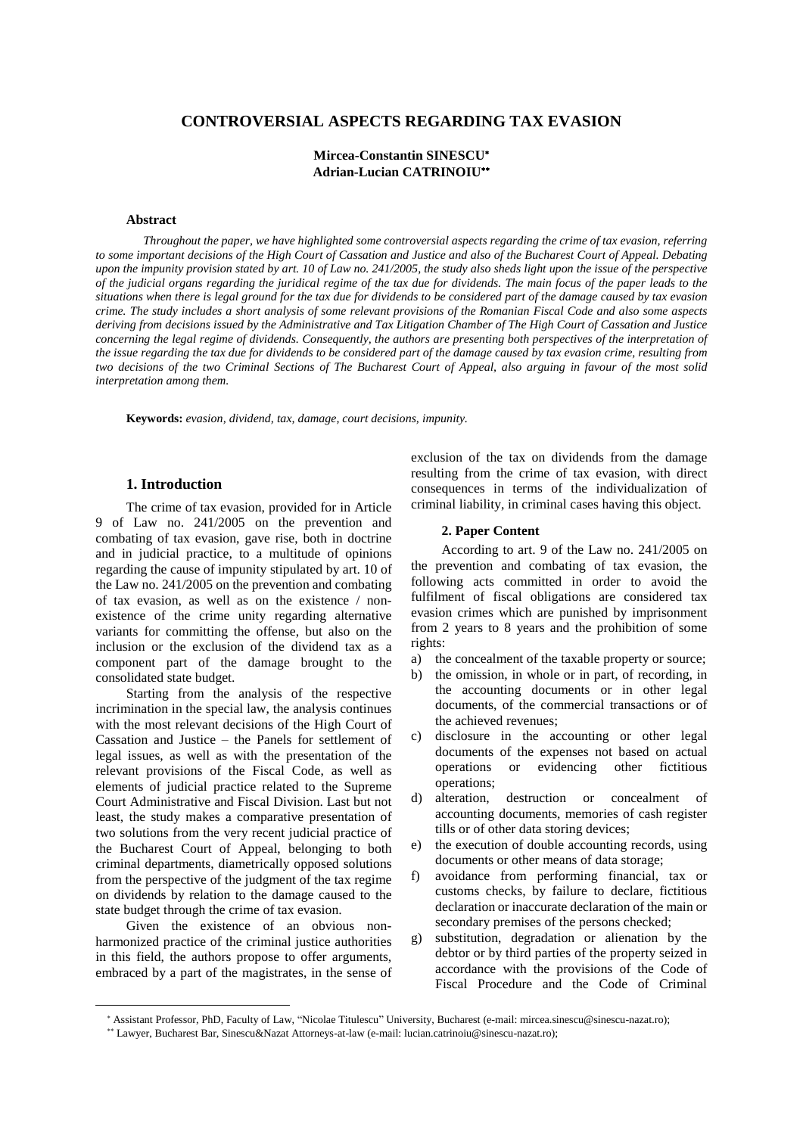# **CONTROVERSIAL ASPECTS REGARDING TAX EVASION**

# **Mircea-Constantin SINESCU Adrian-Lucian CATRINOIU**

#### **Abstract**

Throughout the paper, we have highlighted some controversial aspects regarding the crime of tax evasion, referring to some important decisions of the High Court of Cassation and Justice and also of the Bucharest Court of Appeal. Debating upon the impunity provision stated by art. 10 of Law no. 241/2005, the study also sheds light upon the issue of the perspective of the judicial organs regarding the juridical regime of the tax due for dividends. The main focus of the paper leads to the situations when there is legal ground for the tax due for dividends to be considered part of the damage caused by tax evasion crime. The study includes a short analysis of some relevant provisions of the Romanian Fiscal Code and also some aspects deriving from decisions issued by the Administrative and Tax Litigation Chamber of The High Court of Cassation and Justice concerning the legal regime of dividends. Consequently, the authors are presenting both perspectives of the interpretation of the issue regarding the tax due for dividends to be considered part of the damage caused by tax evasion crime, resulting from two decisions of the two Criminal Sections of The Bucharest Court of Appeal, also arguing in favour of the most solid *interpretation among them.*

**Keywords:** *evasion, dividend, tax, damage, court decisions, impunity.*

### **1. Introduction**

The crime of tax evasion, provided for in Article 9 of Law no. 241/2005 on the prevention and combating of tax evasion, gave rise, both in doctrine and in judicial practice, to a multitude of opinions regarding the cause of impunity stipulated by art. 10 of the Law no. 241/2005 on the prevention and combating of tax evasion, as well as on the existence / nonexistence of the crime unity regarding alternative variants for committing the offense, but also on the inclusion or the exclusion of the dividend tax as a component part of the damage brought to the consolidated state budget.

Starting from the analysis of the respective incrimination in the special law, the analysis continues with the most relevant decisions of the High Court of Cassation and Justice – the Panels for settlement of legal issues, as well as with the presentation of the relevant provisions of the Fiscal Code, as well as elements of judicial practice related to the Supreme Court Administrative and Fiscal Division. Last but not least, the study makes a comparative presentation of two solutions from the very recent judicial practice of the Bucharest Court of Appeal, belonging to both criminal departments, diametrically opposed solutions from the perspective of the judgment of the tax regime on dividends by relation to the damage caused to the state budget through the crime of tax evasion.

Given the existence of an obvious nonharmonized practice of the criminal justice authorities in this field, the authors propose to offer arguments, embraced by a part of the magistrates, in the sense of

 $\overline{a}$ 

exclusion of the tax on dividends from the damage resulting from the crime of tax evasion, with direct consequences in terms of the individualization of criminal liability, in criminal cases having this object.

#### **2. Paper Content**

According to art. 9 of the Law no. 241/2005 on the prevention and combating of tax evasion, the following acts committed in order to avoid the fulfilment of fiscal obligations are considered tax evasion crimes which are punished by imprisonment from 2 years to 8 years and the prohibition of some rights:

- a) the concealment of the taxable property or source;
- b) the omission, in whole or in part, of recording, in the accounting documents or in other legal documents, of the commercial transactions or of the achieved revenues;
- c) disclosure in the accounting or other legal documents of the expenses not based on actual operations or evidencing other fictitious operations;
- d) alteration, destruction or concealment of accounting documents, memories of cash register tills or of other data storing devices;
- e) the execution of double accounting records, using documents or other means of data storage;
- f) avoidance from performing financial, tax or customs checks, by failure to declare, fictitious declaration or inaccurate declaration of the main or secondary premises of the persons checked;
- g) substitution, degradation or alienation by the debtor or by third parties of the property seized in accordance with the provisions of the Code of Fiscal Procedure and the Code of Criminal

Assistant Professor, PhD, Faculty of Law, "Nicolae Titulescu" University, Bucharest (e-mail: mircea.sinescu@sinescu-nazat.ro);

Lawyer, Bucharest Bar, Sinescu&Nazat Attorneys-at-law (e-mail: lucian.catrinoiu@sinescu-nazat.ro);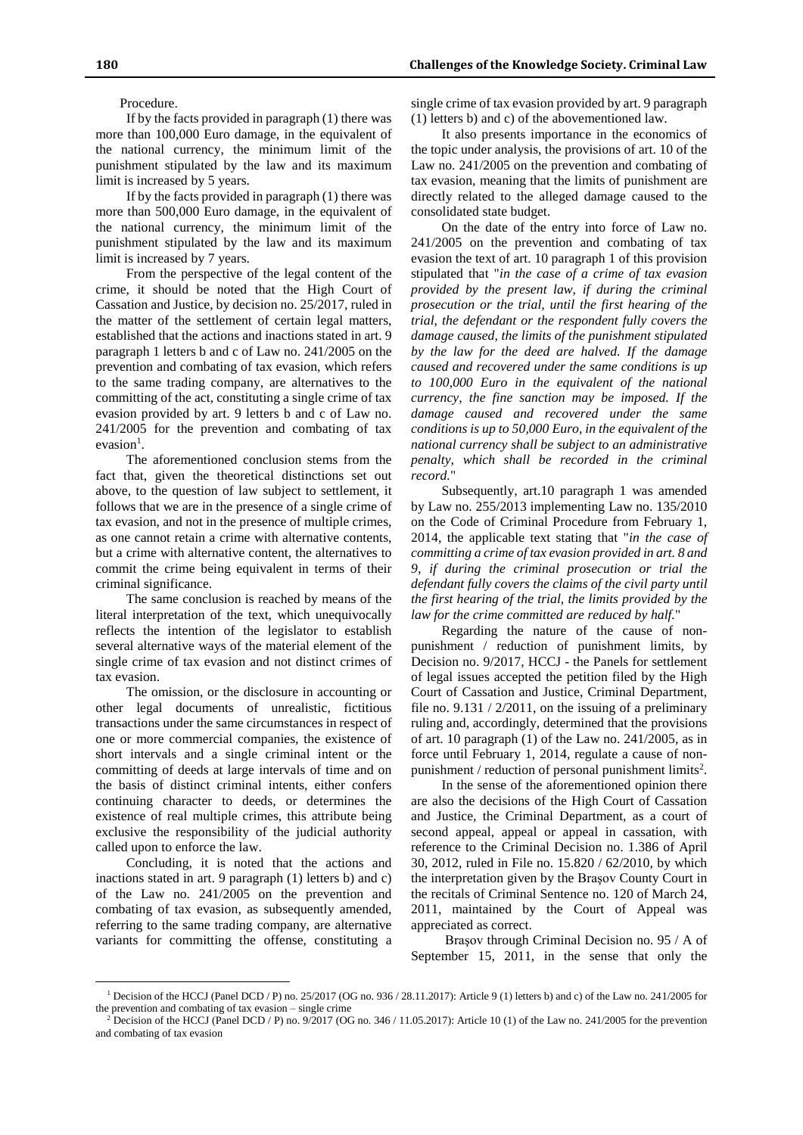### Procedure.

If by the facts provided in paragraph (1) there was more than 100,000 Euro damage, in the equivalent of the national currency, the minimum limit of the punishment stipulated by the law and its maximum limit is increased by 5 years.

If by the facts provided in paragraph (1) there was more than 500,000 Euro damage, in the equivalent of the national currency, the minimum limit of the punishment stipulated by the law and its maximum limit is increased by 7 years.

From the perspective of the legal content of the crime, it should be noted that the High Court of Cassation and Justice, by decision no. 25/2017, ruled in the matter of the settlement of certain legal matters, established that the actions and inactions stated in art. 9 paragraph 1 letters b and c of Law no. 241/2005 on the prevention and combating of tax evasion, which refers to the same trading company, are alternatives to the committing of the act, constituting a single crime of tax evasion provided by art. 9 letters b and c of Law no. 241/2005 for the prevention and combating of tax evasion<sup>1</sup>.

The aforementioned conclusion stems from the fact that, given the theoretical distinctions set out above, to the question of law subject to settlement, it follows that we are in the presence of a single crime of tax evasion, and not in the presence of multiple crimes, as one cannot retain a crime with alternative contents, but a crime with alternative content, the alternatives to commit the crime being equivalent in terms of their criminal significance.

The same conclusion is reached by means of the literal interpretation of the text, which unequivocally reflects the intention of the legislator to establish several alternative ways of the material element of the single crime of tax evasion and not distinct crimes of tax evasion.

The omission, or the disclosure in accounting or other legal documents of unrealistic, fictitious transactions under the same circumstances in respect of one or more commercial companies, the existence of short intervals and a single criminal intent or the committing of deeds at large intervals of time and on the basis of distinct criminal intents, either confers continuing character to deeds, or determines the existence of real multiple crimes, this attribute being exclusive the responsibility of the judicial authority called upon to enforce the law.

Concluding, it is noted that the actions and inactions stated in art. 9 paragraph (1) letters b) and c) of the Law no. 241/2005 on the prevention and combating of tax evasion, as subsequently amended, referring to the same trading company, are alternative variants for committing the offense, constituting a

 $\overline{a}$ 

single crime of tax evasion provided by art. 9 paragraph (1) letters b) and c) of the abovementioned law.

It also presents importance in the economics of the topic under analysis, the provisions of art. 10 of the Law no. 241/2005 on the prevention and combating of tax evasion, meaning that the limits of punishment are directly related to the alleged damage caused to the consolidated state budget.

On the date of the entry into force of Law no. 241/2005 on the prevention and combating of tax evasion the text of art. 10 paragraph 1 of this provision stipulated that "*in the case of a crime of tax evasion provided by the present law, if during the criminal prosecution or the trial, until the first hearing of the trial, the defendant or the respondent fully covers the damage caused, the limits of the punishment stipulated by the law for the deed are halved. If the damage caused and recovered under the same conditions is up to 100,000 Euro in the equivalent of the national currency, the fine sanction may be imposed. If the damage caused and recovered under the same conditions is up to 50,000 Euro, in the equivalent of the national currency shall be subject to an administrative penalty, which shall be recorded in the criminal record.*"

Subsequently, art.10 paragraph 1 was amended by Law no. 255/2013 implementing Law no. 135/2010 on the Code of Criminal Procedure from February 1, 2014, the applicable text stating that "*in the case of committing a crime of tax evasion provided in art. 8 and 9, if during the criminal prosecution or trial the defendant fully covers the claims of the civil party until the first hearing of the trial, the limits provided by the law for the crime committed are reduced by half.*"

Regarding the nature of the cause of nonpunishment / reduction of punishment limits, by Decision no. 9/2017, HCCJ - the Panels for settlement of legal issues accepted the petition filed by the High Court of Cassation and Justice, Criminal Department, file no. 9.131 / 2/2011, on the issuing of a preliminary ruling and, accordingly, determined that the provisions of art. 10 paragraph (1) of the Law no. 241/2005, as in force until February 1, 2014, regulate a cause of nonpunishment / reduction of personal punishment limits<sup>2</sup>.

In the sense of the aforementioned opinion there are also the decisions of the High Court of Cassation and Justice, the Criminal Department, as a court of second appeal, appeal or appeal in cassation, with reference to the Criminal Decision no. 1.386 of April 30, 2012, ruled in File no. 15.820 / 62/2010, by which the interpretation given by the Braşov County Court in the recitals of Criminal Sentence no. 120 of March 24, 2011, maintained by the Court of Appeal was appreciated as correct.

Braşov through Criminal Decision no. 95 / A of September 15, 2011, in the sense that only the

<sup>1</sup> Decision of the HCCJ (Panel DCD / P) no. 25/2017 (OG no. 936 / 28.11.2017): Article 9 (1) letters b) and c) of the Law no. 241/2005 for the prevention and combating of tax evasion – single crime

<sup>2</sup> Decision of the HCCJ (Panel DCD / P) no. 9/2017 (OG no. 346 / 11.05.2017): Article 10 (1) of the Law no. 241/2005 for the prevention and combating of tax evasion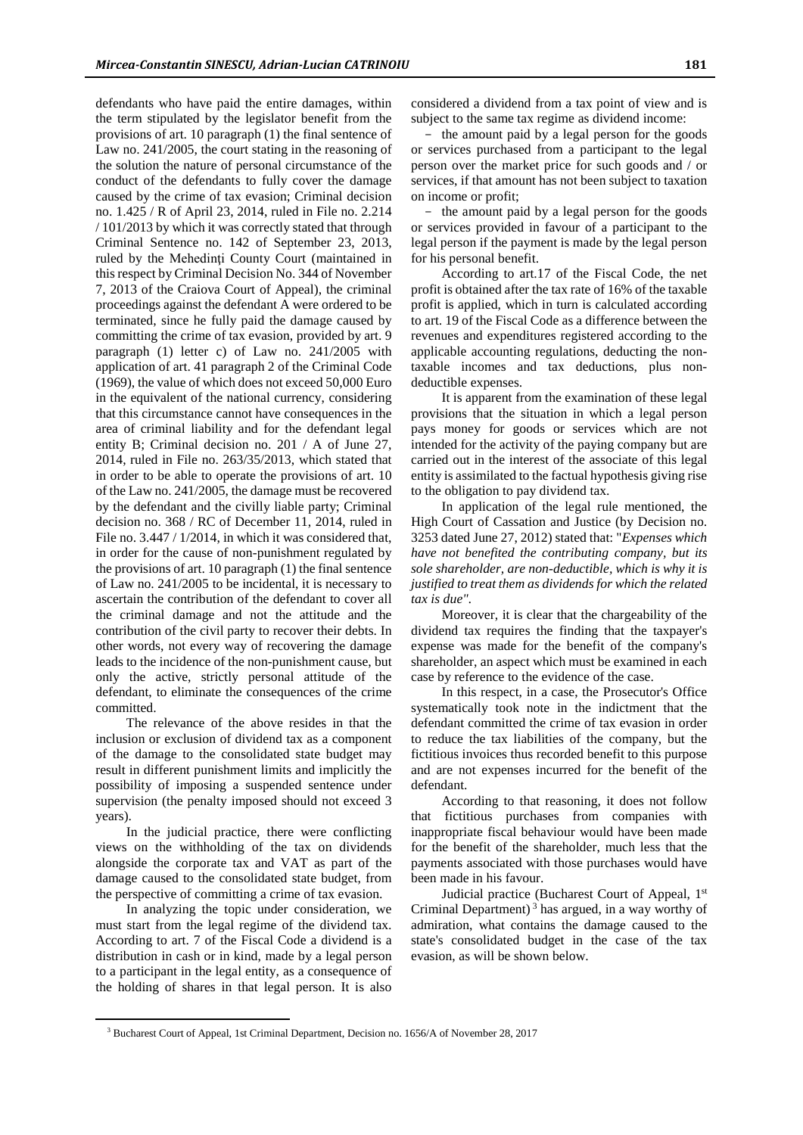defendants who have paid the entire damages, within the term stipulated by the legislator benefit from the provisions of art. 10 paragraph (1) the final sentence of Law no. 241/2005, the court stating in the reasoning of the solution the nature of personal circumstance of the conduct of the defendants to fully cover the damage caused by the crime of tax evasion; Criminal decision no. 1.425 / R of April 23, 2014, ruled in File no. 2.214 / 101/2013 by which it was correctly stated that through Criminal Sentence no. 142 of September 23, 2013, ruled by the Mehedinţi County Court (maintained in this respect by Criminal Decision No. 344 of November 7, 2013 of the Craiova Court of Appeal), the criminal proceedings against the defendant A were ordered to be terminated, since he fully paid the damage caused by committing the crime of tax evasion, provided by art. 9 paragraph (1) letter c) of Law no. 241/2005 with application of art. 41 paragraph 2 of the Criminal Code (1969), the value of which does not exceed 50,000 Euro in the equivalent of the national currency, considering that this circumstance cannot have consequences in the area of criminal liability and for the defendant legal entity B; Criminal decision no. 201 / A of June 27, 2014, ruled in File no. 263/35/2013, which stated that in order to be able to operate the provisions of art. 10 of the Law no. 241/2005, the damage must be recovered by the defendant and the civilly liable party; Criminal decision no. 368 / RC of December 11, 2014, ruled in File no. 3.447 / 1/2014, in which it was considered that, in order for the cause of non-punishment regulated by the provisions of art. 10 paragraph (1) the final sentence of Law no. 241/2005 to be incidental, it is necessary to ascertain the contribution of the defendant to cover all the criminal damage and not the attitude and the contribution of the civil party to recover their debts. In other words, not every way of recovering the damage leads to the incidence of the non-punishment cause, but only the active, strictly personal attitude of the defendant, to eliminate the consequences of the crime committed.

The relevance of the above resides in that the inclusion or exclusion of dividend tax as a component of the damage to the consolidated state budget may result in different punishment limits and implicitly the possibility of imposing a suspended sentence under supervision (the penalty imposed should not exceed 3 years).

In the judicial practice, there were conflicting views on the withholding of the tax on dividends alongside the corporate tax and VAT as part of the damage caused to the consolidated state budget, from the perspective of committing a crime of tax evasion.

In analyzing the topic under consideration, we must start from the legal regime of the dividend tax. According to art. 7 of the Fiscal Code a dividend is a distribution in cash or in kind, made by a legal person to a participant in the legal entity, as a consequence of the holding of shares in that legal person. It is also

 $\overline{a}$ 

considered a dividend from a tax point of view and is subject to the same tax regime as dividend income:

- the amount paid by a legal person for the goods or services purchased from a participant to the legal person over the market price for such goods and / or services, if that amount has not been subject to taxation on income or profit;

- the amount paid by a legal person for the goods or services provided in favour of a participant to the legal person if the payment is made by the legal person for his personal benefit.

According to art.17 of the Fiscal Code, the net profit is obtained after the tax rate of 16% of the taxable profit is applied, which in turn is calculated according to art. 19 of the Fiscal Code as a difference between the revenues and expenditures registered according to the applicable accounting regulations, deducting the nontaxable incomes and tax deductions, plus nondeductible expenses.

It is apparent from the examination of these legal provisions that the situation in which a legal person pays money for goods or services which are not intended for the activity of the paying company but are carried out in the interest of the associate of this legal entity is assimilated to the factual hypothesis giving rise to the obligation to pay dividend tax.

In application of the legal rule mentioned, the High Court of Cassation and Justice (by Decision no. 3253 dated June 27, 2012) stated that: "*Expenses which have not benefited the contributing company, but its sole shareholder, are non-deductible, which is why it is justified to treat them as dividends for which the related tax is due".*

Moreover, it is clear that the chargeability of the dividend tax requires the finding that the taxpayer's expense was made for the benefit of the company's shareholder, an aspect which must be examined in each case by reference to the evidence of the case.

In this respect, in a case, the Prosecutor's Office systematically took note in the indictment that the defendant committed the crime of tax evasion in order to reduce the tax liabilities of the company, but the fictitious invoices thus recorded benefit to this purpose and are not expenses incurred for the benefit of the defendant.

According to that reasoning, it does not follow that fictitious purchases from companies with inappropriate fiscal behaviour would have been made for the benefit of the shareholder, much less that the payments associated with those purchases would have been made in his favour.

Judicial practice (Bucharest Court of Appeal, 1st Criminal Department)<sup>3</sup> has argued, in a way worthy of admiration, what contains the damage caused to the state's consolidated budget in the case of the tax evasion, as will be shown below.

<sup>3</sup> Bucharest Court of Appeal, 1st Criminal Department, Decision no. 1656/A of November 28, 2017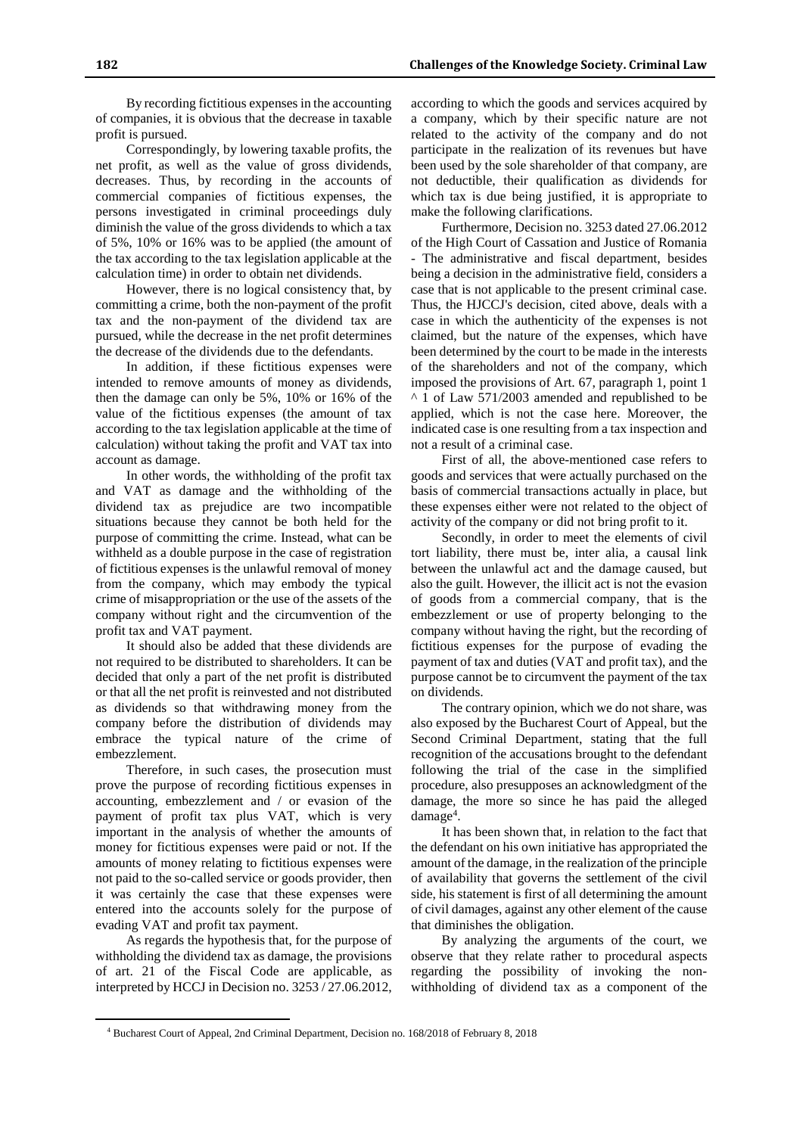By recording fictitious expenses in the accounting of companies, it is obvious that the decrease in taxable profit is pursued.

Correspondingly, by lowering taxable profits, the net profit, as well as the value of gross dividends, decreases. Thus, by recording in the accounts of commercial companies of fictitious expenses, the persons investigated in criminal proceedings duly diminish the value of the gross dividends to which a tax of 5%, 10% or 16% was to be applied (the amount of the tax according to the tax legislation applicable at the calculation time) in order to obtain net dividends.

However, there is no logical consistency that, by committing a crime, both the non-payment of the profit tax and the non-payment of the dividend tax are pursued, while the decrease in the net profit determines the decrease of the dividends due to the defendants.

In addition, if these fictitious expenses were intended to remove amounts of money as dividends, then the damage can only be 5%, 10% or 16% of the value of the fictitious expenses (the amount of tax according to the tax legislation applicable at the time of calculation) without taking the profit and VAT tax into account as damage.

In other words, the withholding of the profit tax and VAT as damage and the withholding of the dividend tax as prejudice are two incompatible situations because they cannot be both held for the purpose of committing the crime. Instead, what can be withheld as a double purpose in the case of registration of fictitious expenses is the unlawful removal of money from the company, which may embody the typical crime of misappropriation or the use of the assets of the company without right and the circumvention of the profit tax and VAT payment.

It should also be added that these dividends are not required to be distributed to shareholders. It can be decided that only a part of the net profit is distributed or that all the net profit is reinvested and not distributed as dividends so that withdrawing money from the company before the distribution of dividends may embrace the typical nature of the crime of embezzlement.

Therefore, in such cases, the prosecution must prove the purpose of recording fictitious expenses in accounting, embezzlement and / or evasion of the payment of profit tax plus VAT, which is very important in the analysis of whether the amounts of money for fictitious expenses were paid or not. If the amounts of money relating to fictitious expenses were not paid to the so-called service or goods provider, then it was certainly the case that these expenses were entered into the accounts solely for the purpose of evading VAT and profit tax payment.

As regards the hypothesis that, for the purpose of withholding the dividend tax as damage, the provisions of art. 21 of the Fiscal Code are applicable, as interpreted by HCCJ in Decision no. 3253 / 27.06.2012,

 $\overline{a}$ 

according to which the goods and services acquired by a company, which by their specific nature are not related to the activity of the company and do not participate in the realization of its revenues but have been used by the sole shareholder of that company, are not deductible, their qualification as dividends for which tax is due being justified, it is appropriate to make the following clarifications.

Furthermore, Decision no. 3253 dated 27.06.2012 of the High Court of Cassation and Justice of Romania - The administrative and fiscal department, besides being a decision in the administrative field, considers a case that is not applicable to the present criminal case. Thus, the HJCCJ's decision, cited above, deals with a case in which the authenticity of the expenses is not claimed, but the nature of the expenses, which have been determined by the court to be made in the interests of the shareholders and not of the company, which imposed the provisions of Art. 67, paragraph 1, point 1 ^ 1 of Law 571/2003 amended and republished to be applied, which is not the case here. Moreover, the indicated case is one resulting from a tax inspection and not a result of a criminal case.

First of all, the above-mentioned case refers to goods and services that were actually purchased on the basis of commercial transactions actually in place, but these expenses either were not related to the object of activity of the company or did not bring profit to it.

Secondly, in order to meet the elements of civil tort liability, there must be, inter alia, a causal link between the unlawful act and the damage caused, but also the guilt. However, the illicit act is not the evasion of goods from a commercial company, that is the embezzlement or use of property belonging to the company without having the right, but the recording of fictitious expenses for the purpose of evading the payment of tax and duties (VAT and profit tax), and the purpose cannot be to circumvent the payment of the tax on dividends.

The contrary opinion, which we do not share, was also exposed by the Bucharest Court of Appeal, but the Second Criminal Department, stating that the full recognition of the accusations brought to the defendant following the trial of the case in the simplified procedure, also presupposes an acknowledgment of the damage, the more so since he has paid the alleged damage<sup>4</sup>.

It has been shown that, in relation to the fact that the defendant on his own initiative has appropriated the amount of the damage, in the realization of the principle of availability that governs the settlement of the civil side, his statement is first of all determining the amount of civil damages, against any other element of the cause that diminishes the obligation.

By analyzing the arguments of the court, we observe that they relate rather to procedural aspects regarding the possibility of invoking the nonwithholding of dividend tax as a component of the

<sup>4</sup> Bucharest Court of Appeal, 2nd Criminal Department, Decision no. 168/2018 of February 8, 2018